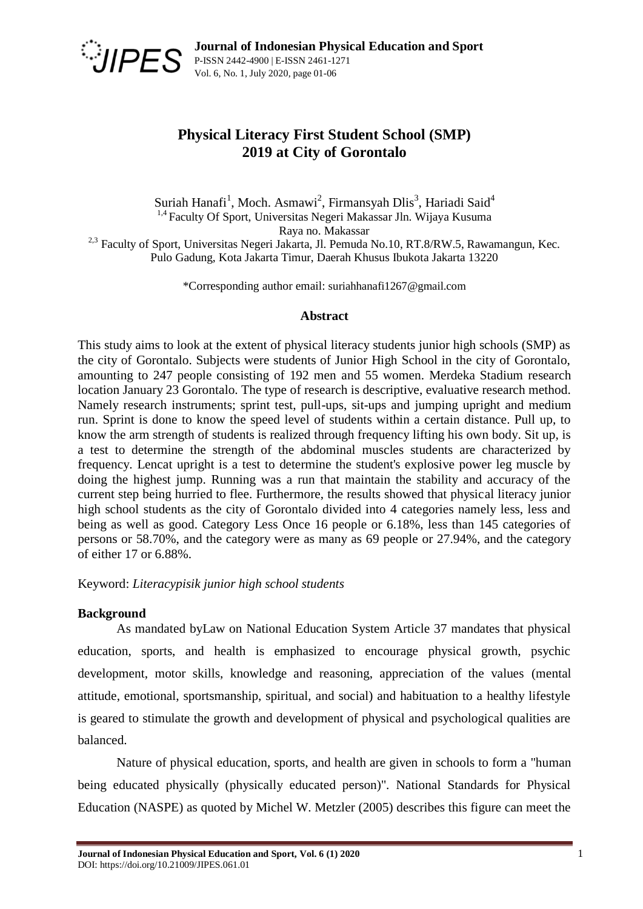

# **Physical Literacy First Student School (SMP) 2019 at City of Gorontalo**

Suriah Hanafi<sup>1</sup>, Moch. Asmawi<sup>2</sup>, Firmansyah Dlis<sup>3</sup>, Hariadi Said<sup>4</sup> <sup>1,4</sup> Faculty Of Sport, Universitas Negeri Makassar Jln. Wijaya Kusuma Raya no. Makassar <sup>2,3</sup> Faculty of Sport, Universitas Negeri Jakarta, Jl. Pemuda No.10, RT.8/RW.5, Rawamangun, Kec. Pulo Gadung, Kota Jakarta Timur, Daerah Khusus Ibukota Jakarta 13220

\*Corresponding author email: suriahhanafi1267@gmail.com

### **Abstract**

This study aims to look at the extent of physical literacy students junior high schools (SMP) as the city of Gorontalo. Subjects were students of Junior High School in the city of Gorontalo, amounting to 247 people consisting of 192 men and 55 women. Merdeka Stadium research location January 23 Gorontalo. The type of research is descriptive, evaluative research method. Namely research instruments; sprint test, pull-ups, sit-ups and jumping upright and medium run. Sprint is done to know the speed level of students within a certain distance. Pull up, to know the arm strength of students is realized through frequency lifting his own body. Sit up, is a test to determine the strength of the abdominal muscles students are characterized by frequency. Lencat upright is a test to determine the student's explosive power leg muscle by doing the highest jump. Running was a run that maintain the stability and accuracy of the current step being hurried to flee. Furthermore, the results showed that physical literacy junior high school students as the city of Gorontalo divided into 4 categories namely less, less and being as well as good. Category Less Once 16 people or 6.18%, less than 145 categories of persons or 58.70%, and the category were as many as 69 people or 27.94%, and the category of either 17 or 6.88%.

Keyword: *Literacypisik junior high school students*

# **Background**

As mandated byLaw on National Education System Article 37 mandates that physical education, sports, and health is emphasized to encourage physical growth, psychic development, motor skills, knowledge and reasoning, appreciation of the values (mental attitude, emotional, sportsmanship, spiritual, and social) and habituation to a healthy lifestyle is geared to stimulate the growth and development of physical and psychological qualities are balanced.

Nature of physical education, sports, and health are given in schools to form a "human being educated physically (physically educated person)". National Standards for Physical Education (NASPE) as quoted by Michel W. Metzler (2005) describes this figure can meet the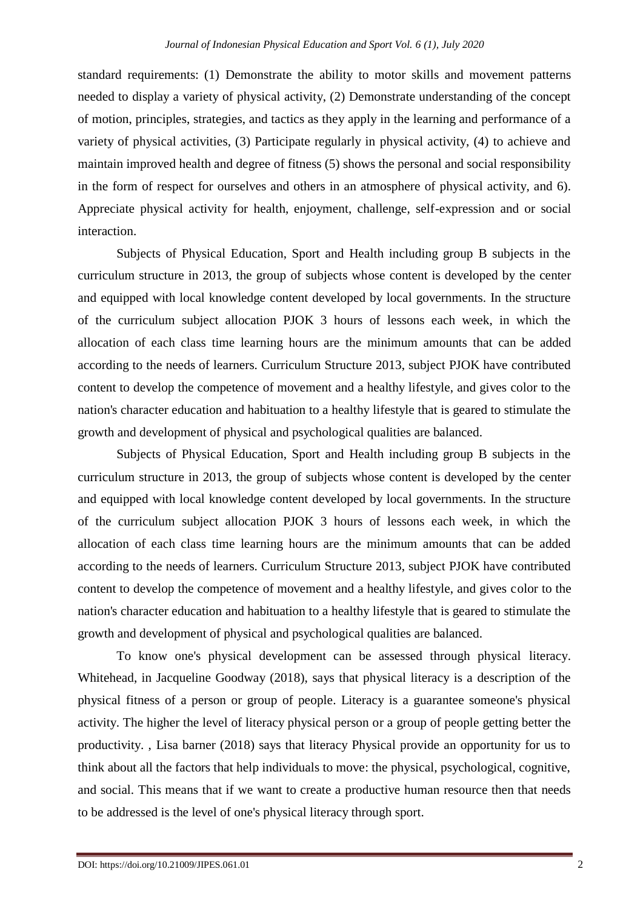standard requirements: (1) Demonstrate the ability to motor skills and movement patterns needed to display a variety of physical activity, (2) Demonstrate understanding of the concept of motion, principles, strategies, and tactics as they apply in the learning and performance of a variety of physical activities, (3) Participate regularly in physical activity, (4) to achieve and maintain improved health and degree of fitness (5) shows the personal and social responsibility in the form of respect for ourselves and others in an atmosphere of physical activity, and 6). Appreciate physical activity for health, enjoyment, challenge, self-expression and or social interaction.

Subjects of Physical Education, Sport and Health including group B subjects in the curriculum structure in 2013, the group of subjects whose content is developed by the center and equipped with local knowledge content developed by local governments. In the structure of the curriculum subject allocation PJOK 3 hours of lessons each week, in which the allocation of each class time learning hours are the minimum amounts that can be added according to the needs of learners. Curriculum Structure 2013, subject PJOK have contributed content to develop the competence of movement and a healthy lifestyle, and gives color to the nation's character education and habituation to a healthy lifestyle that is geared to stimulate the growth and development of physical and psychological qualities are balanced.

Subjects of Physical Education, Sport and Health including group B subjects in the curriculum structure in 2013, the group of subjects whose content is developed by the center and equipped with local knowledge content developed by local governments. In the structure of the curriculum subject allocation PJOK 3 hours of lessons each week, in which the allocation of each class time learning hours are the minimum amounts that can be added according to the needs of learners. Curriculum Structure 2013, subject PJOK have contributed content to develop the competence of movement and a healthy lifestyle, and gives color to the nation's character education and habituation to a healthy lifestyle that is geared to stimulate the growth and development of physical and psychological qualities are balanced.

To know one's physical development can be assessed through physical literacy. Whitehead, in Jacqueline Goodway (2018), says that physical literacy is a description of the physical fitness of a person or group of people. Literacy is a guarantee someone's physical activity. The higher the level of literacy physical person or a group of people getting better the productivity. , Lisa barner (2018) says that literacy Physical provide an opportunity for us to think about all the factors that help individuals to move: the physical, psychological, cognitive, and social. This means that if we want to create a productive human resource then that needs to be addressed is the level of one's physical literacy through sport.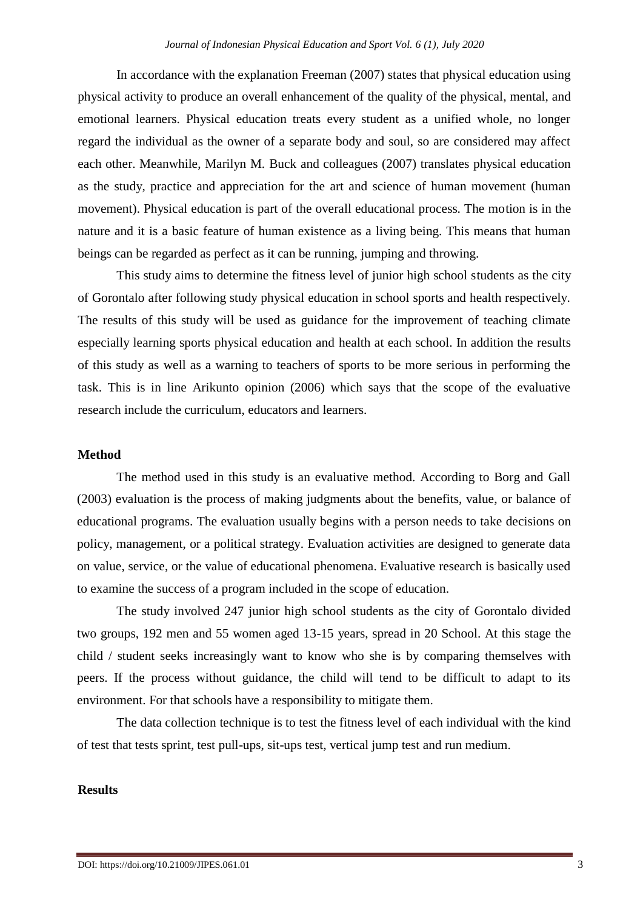In accordance with the explanation Freeman (2007) states that physical education using physical activity to produce an overall enhancement of the quality of the physical, mental, and emotional learners. Physical education treats every student as a unified whole, no longer regard the individual as the owner of a separate body and soul, so are considered may affect each other. Meanwhile, Marilyn M. Buck and colleagues (2007) translates physical education as the study, practice and appreciation for the art and science of human movement (human movement). Physical education is part of the overall educational process. The motion is in the nature and it is a basic feature of human existence as a living being. This means that human beings can be regarded as perfect as it can be running, jumping and throwing.

This study aims to determine the fitness level of junior high school students as the city of Gorontalo after following study physical education in school sports and health respectively. The results of this study will be used as guidance for the improvement of teaching climate especially learning sports physical education and health at each school. In addition the results of this study as well as a warning to teachers of sports to be more serious in performing the task. This is in line Arikunto opinion (2006) which says that the scope of the evaluative research include the curriculum, educators and learners.

### **Method**

The method used in this study is an evaluative method. According to Borg and Gall (2003) evaluation is the process of making judgments about the benefits, value, or balance of educational programs. The evaluation usually begins with a person needs to take decisions on policy, management, or a political strategy. Evaluation activities are designed to generate data on value, service, or the value of educational phenomena. Evaluative research is basically used to examine the success of a program included in the scope of education.

The study involved 247 junior high school students as the city of Gorontalo divided two groups, 192 men and 55 women aged 13-15 years, spread in 20 School. At this stage the child / student seeks increasingly want to know who she is by comparing themselves with peers. If the process without guidance, the child will tend to be difficult to adapt to its environment. For that schools have a responsibility to mitigate them.

The data collection technique is to test the fitness level of each individual with the kind of test that tests sprint, test pull-ups, sit-ups test, vertical jump test and run medium.

### **Results**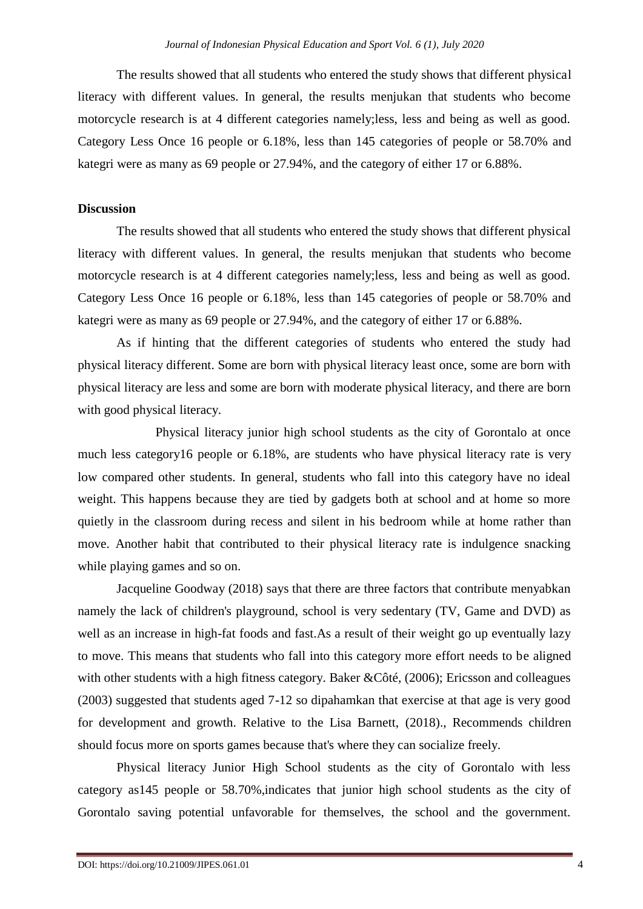The results showed that all students who entered the study shows that different physical literacy with different values. In general, the results menjukan that students who become motorcycle research is at 4 different categories namely;less, less and being as well as good. Category Less Once 16 people or 6.18%, less than 145 categories of people or 58.70% and kategri were as many as 69 people or 27.94%, and the category of either 17 or 6.88%.

#### **Discussion**

The results showed that all students who entered the study shows that different physical literacy with different values. In general, the results menjukan that students who become motorcycle research is at 4 different categories namely;less, less and being as well as good. Category Less Once 16 people or 6.18%, less than 145 categories of people or 58.70% and kategri were as many as 69 people or 27.94%, and the category of either 17 or 6.88%.

As if hinting that the different categories of students who entered the study had physical literacy different. Some are born with physical literacy least once, some are born with physical literacy are less and some are born with moderate physical literacy, and there are born with good physical literacy.

Physical literacy junior high school students as the city of Gorontalo at once much less category16 people or 6.18%, are students who have physical literacy rate is very low compared other students. In general, students who fall into this category have no ideal weight. This happens because they are tied by gadgets both at school and at home so more quietly in the classroom during recess and silent in his bedroom while at home rather than move. Another habit that contributed to their physical literacy rate is indulgence snacking while playing games and so on.

Jacqueline Goodway (2018) says that there are three factors that contribute menyabkan namely the lack of children's playground, school is very sedentary (TV, Game and DVD) as well as an increase in high-fat foods and fast.As a result of their weight go up eventually lazy to move. This means that students who fall into this category more effort needs to be aligned with other students with a high fitness category. Baker &Côté, (2006); Ericsson and colleagues (2003) suggested that students aged 7-12 so dipahamkan that exercise at that age is very good for development and growth. Relative to the Lisa Barnett, (2018)., Recommends children should focus more on sports games because that's where they can socialize freely.

Physical literacy Junior High School students as the city of Gorontalo with less category as145 people or 58.70%,indicates that junior high school students as the city of Gorontalo saving potential unfavorable for themselves, the school and the government.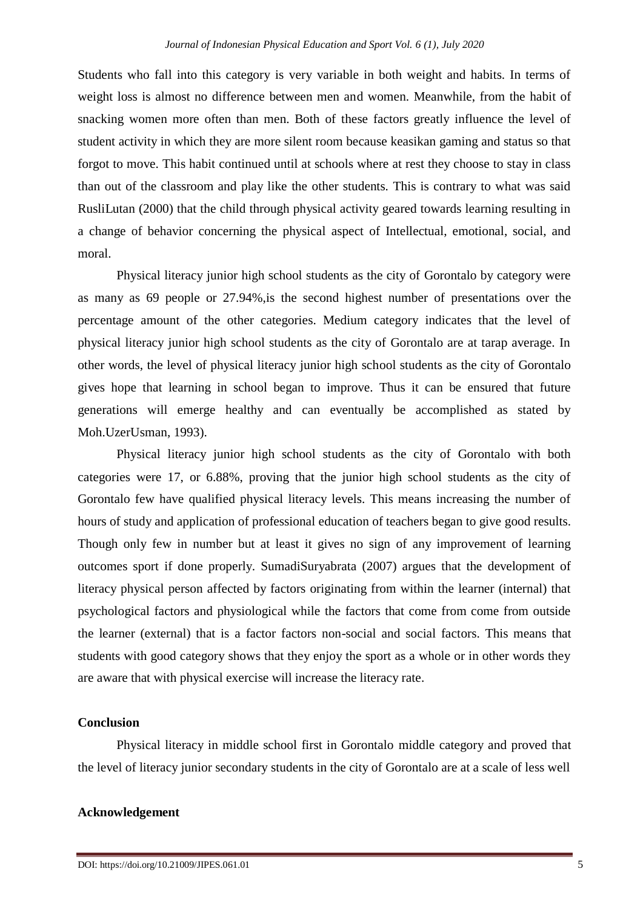Students who fall into this category is very variable in both weight and habits. In terms of weight loss is almost no difference between men and women. Meanwhile, from the habit of snacking women more often than men. Both of these factors greatly influence the level of student activity in which they are more silent room because keasikan gaming and status so that forgot to move. This habit continued until at schools where at rest they choose to stay in class than out of the classroom and play like the other students. This is contrary to what was said RusliLutan (2000) that the child through physical activity geared towards learning resulting in a change of behavior concerning the physical aspect of Intellectual, emotional, social, and moral.

Physical literacy junior high school students as the city of Gorontalo by category were as many as 69 people or 27.94%,is the second highest number of presentations over the percentage amount of the other categories. Medium category indicates that the level of physical literacy junior high school students as the city of Gorontalo are at tarap average. In other words, the level of physical literacy junior high school students as the city of Gorontalo gives hope that learning in school began to improve. Thus it can be ensured that future generations will emerge healthy and can eventually be accomplished as stated by Moh.UzerUsman, 1993).

Physical literacy junior high school students as the city of Gorontalo with both categories were 17, or 6.88%, proving that the junior high school students as the city of Gorontalo few have qualified physical literacy levels. This means increasing the number of hours of study and application of professional education of teachers began to give good results. Though only few in number but at least it gives no sign of any improvement of learning outcomes sport if done properly. SumadiSuryabrata (2007) argues that the development of literacy physical person affected by factors originating from within the learner (internal) that psychological factors and physiological while the factors that come from come from outside the learner (external) that is a factor factors non-social and social factors. This means that students with good category shows that they enjoy the sport as a whole or in other words they are aware that with physical exercise will increase the literacy rate.

#### **Conclusion**

Physical literacy in middle school first in Gorontalo middle category and proved that the level of literacy junior secondary students in the city of Gorontalo are at a scale of less well

#### **Acknowledgement**